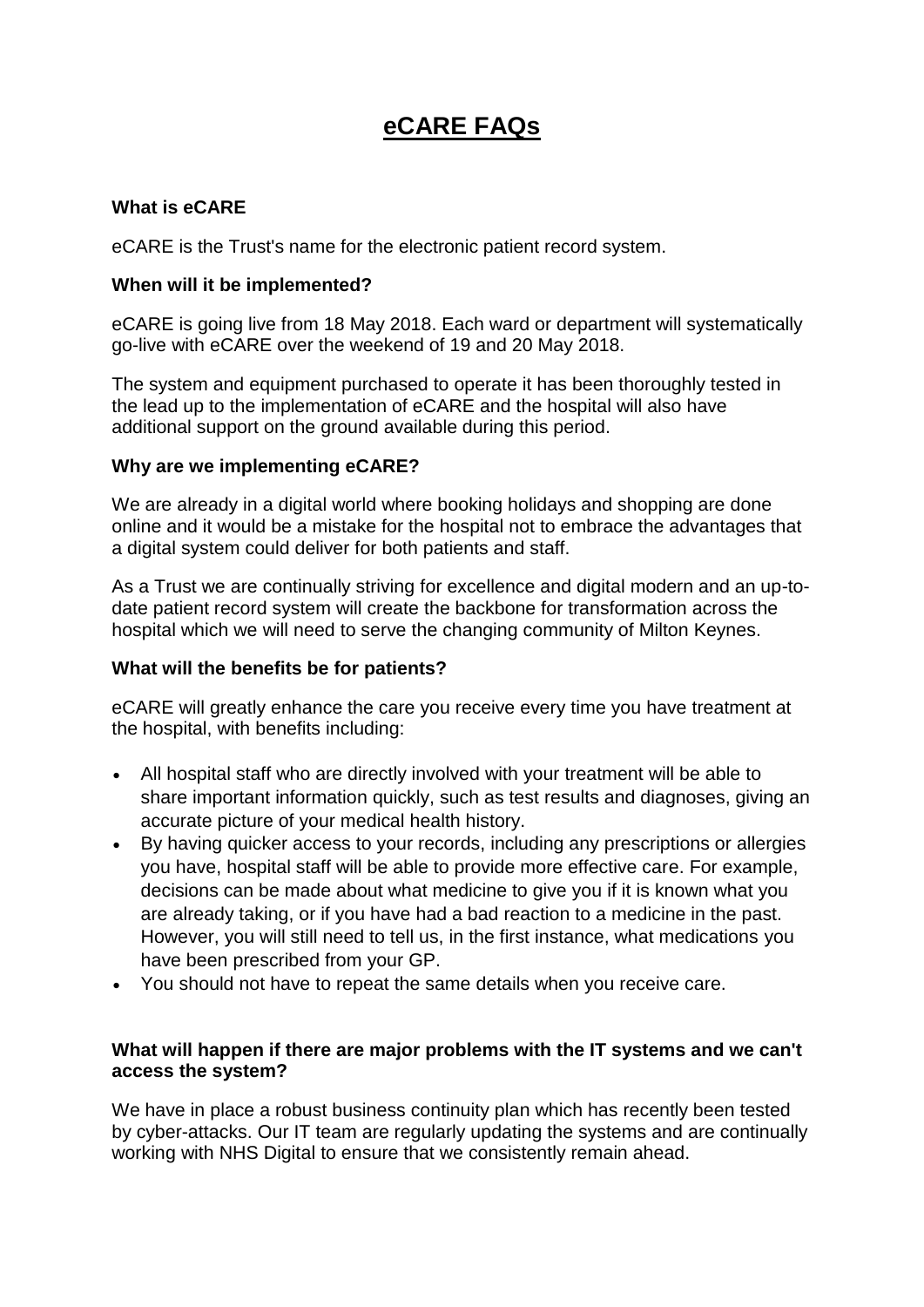# **eCARE FAQs**

# **What is eCARE**

eCARE is the Trust's name for the electronic patient record system.

## **When will it be implemented?**

eCARE is going live from 18 May 2018. Each ward or department will systematically go-live with eCARE over the weekend of 19 and 20 May 2018.

The system and equipment purchased to operate it has been thoroughly tested in the lead up to the implementation of eCARE and the hospital will also have additional support on the ground available during this period.

# **Why are we implementing eCARE?**

We are already in a digital world where booking holidays and shopping are done online and it would be a mistake for the hospital not to embrace the advantages that a digital system could deliver for both patients and staff.

As a Trust we are continually striving for excellence and digital modern and an up-todate patient record system will create the backbone for transformation across the hospital which we will need to serve the changing community of Milton Keynes.

### **What will the benefits be for patients?**

eCARE will greatly enhance the care you receive every time you have treatment at the hospital, with benefits including:

- All hospital staff who are directly involved with your treatment will be able to share important information quickly, such as test results and diagnoses, giving an accurate picture of your medical health history.
- By having quicker access to your records, including any prescriptions or allergies you have, hospital staff will be able to provide more effective care. For example, decisions can be made about what medicine to give you if it is known what you are already taking, or if you have had a bad reaction to a medicine in the past. However, you will still need to tell us, in the first instance, what medications you have been prescribed from your GP.
- You should not have to repeat the same details when you receive care.

### **What will happen if there are major problems with the IT systems and we can't access the system?**

We have in place a robust business continuity plan which has recently been tested by cyber-attacks. Our IT team are regularly updating the systems and are continually working with NHS Digital to ensure that we consistently remain ahead.